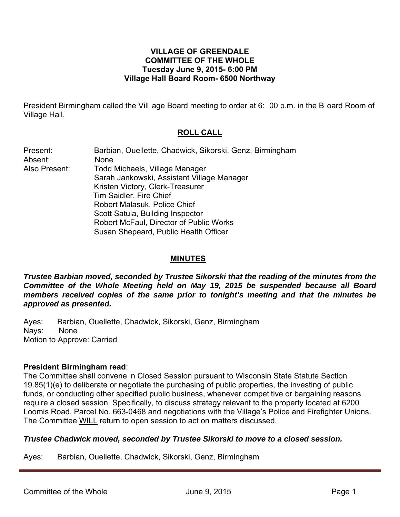### **VILLAGE OF GREENDALE COMMITTEE OF THE WHOLE Tuesday June 9, 2015- 6:00 PM Village Hall Board Room- 6500 Northway**

President Birmingham called the Vill age Board meeting to order at 6: 00 p.m. in the B oard Room of Village Hall.

# **ROLL CALL**

| Present:      | Barbian, Ouellette, Chadwick, Sikorski, Genz, Birmingham |
|---------------|----------------------------------------------------------|
| Absent:       | <b>None</b>                                              |
| Also Present: | Todd Michaels, Village Manager                           |
|               | Sarah Jankowski, Assistant Village Manager               |
|               | Kristen Victory, Clerk-Treasurer                         |
|               | Tim Saidler, Fire Chief                                  |
|               | Robert Malasuk, Police Chief                             |
|               | Scott Satula, Building Inspector                         |
|               | Robert McFaul, Director of Public Works                  |
|               | Susan Shepeard, Public Health Officer                    |
|               |                                                          |

### **MINUTES**

*Trustee Barbian moved, seconded by Trustee Sikorski that the reading of the minutes from the Committee of the Whole Meeting held on May 19, 2015 be suspended because all Board members received copies of the same prior to tonight's meeting and that the minutes be approved as presented.* 

Ayes: Barbian, Ouellette, Chadwick, Sikorski, Genz, Birmingham Nays: None Motion to Approve: Carried

#### **President Birmingham read**:

The Committee shall convene in Closed Session pursuant to Wisconsin State Statute Section 19.85(1)(e) to deliberate or negotiate the purchasing of public properties, the investing of public funds, or conducting other specified public business, whenever competitive or bargaining reasons require a closed session. Specifically, to discuss strategy relevant to the property located at 6200 Loomis Road, Parcel No. 663-0468 and negotiations with the Village's Police and Firefighter Unions. The Committee WILL return to open session to act on matters discussed.

#### *Trustee Chadwick moved, seconded by Trustee Sikorski to move to a closed session.*

Ayes: Barbian, Ouellette, Chadwick, Sikorski, Genz, Birmingham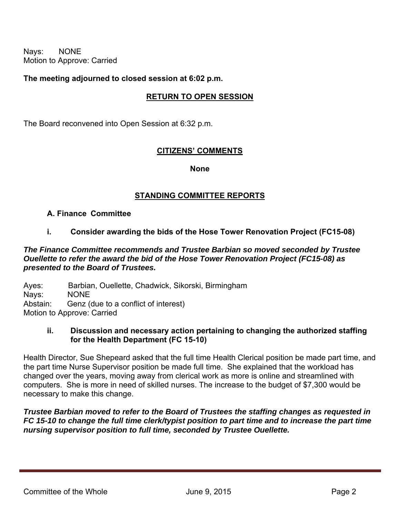Nays: NONE Motion to Approve: Carried

### **The meeting adjourned to closed session at 6:02 p.m.**

## **RETURN TO OPEN SESSION**

The Board reconvened into Open Session at 6:32 p.m.

## **CITIZENS' COMMENTS**

**None** 

### **STANDING COMMITTEE REPORTS**

#### **A. Finance Committee**

### **i. Consider awarding the bids of the Hose Tower Renovation Project (FC15-08)**

### *The Finance Committee recommends and Trustee Barbian so moved seconded by Trustee Ouellette to refer the award the bid of the Hose Tower Renovation Project (FC15-08) as presented to the Board of Trustees.*

Ayes: Barbian, Ouellette, Chadwick, Sikorski, Birmingham Nays: NONE Abstain: Genz (due to a conflict of interest) Motion to Approve: Carried

### **ii. Discussion and necessary action pertaining to changing the authorized staffing for the Health Department (FC 15-10)**

Health Director, Sue Shepeard asked that the full time Health Clerical position be made part time, and the part time Nurse Supervisor position be made full time. She explained that the workload has changed over the years, moving away from clerical work as more is online and streamlined with computers. She is more in need of skilled nurses. The increase to the budget of \$7,300 would be necessary to make this change.

*Trustee Barbian moved to refer to the Board of Trustees the staffing changes as requested in FC 15-10 to change the full time clerk/typist position to part time and to increase the part time nursing supervisor position to full time, seconded by Trustee Ouellette.*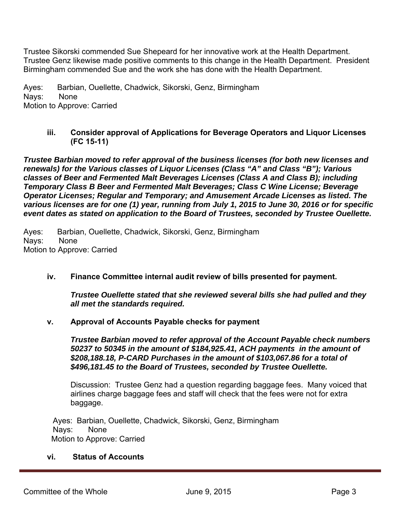Trustee Sikorski commended Sue Shepeard for her innovative work at the Health Department. Trustee Genz likewise made positive comments to this change in the Health Department. President Birmingham commended Sue and the work she has done with the Health Department.

Ayes: Barbian, Ouellette, Chadwick, Sikorski, Genz, Birmingham Nays: None Motion to Approve: Carried

### **iii. Consider approval of Applications for Beverage Operators and Liquor Licenses (FC 15-11)**

*Trustee Barbian moved to refer approval of the business licenses (for both new licenses and renewals) for the Various classes of Liquor Licenses (Class "A" and Class "B"); Various classes of Beer and Fermented Malt Beverages Licenses (Class A and Class B); including Temporary Class B Beer and Fermented Malt Beverages; Class C Wine License; Beverage Operator Licenses; Regular and Temporary; and Amusement Arcade Licenses as listed. The various licenses are for one (1) year, running from July 1, 2015 to June 30, 2016 or for specific event dates as stated on application to the Board of Trustees, seconded by Trustee Ouellette.* 

Ayes: Barbian, Ouellette, Chadwick, Sikorski, Genz, Birmingham Nays: None Motion to Approve: Carried

## **iv. Finance Committee internal audit review of bills presented for payment.**

*Trustee Ouellette stated that she reviewed several bills she had pulled and they all met the standards required.*

#### **v. Approval of Accounts Payable checks for payment**

*Trustee Barbian moved to refer approval of the Account Payable check numbers 50237 to 50345 in the amount of \$184,925.41, ACH payments in the amount of \$208,188.18, P-CARD Purchases in the amount of \$103,067.86 for a total of \$496,181.45 to the Board of Trustees, seconded by Trustee Ouellette.* 

Discussion: Trustee Genz had a question regarding baggage fees. Many voiced that airlines charge baggage fees and staff will check that the fees were not for extra baggage.

 Ayes: Barbian, Ouellette, Chadwick, Sikorski, Genz, Birmingham Nays: None Motion to Approve: Carried

#### **vi. Status of Accounts**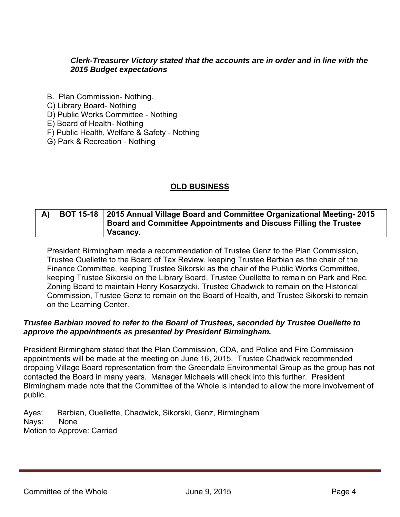## *Clerk-Treasurer Victory stated that the accounts are in order and in line with the 2015 Budget expectations*

- B. Plan Commission- Nothing.
- C) Library Board- Nothing
- D) Public Works Committee Nothing
- E) Board of Health- Nothing
- F) Public Health, Welfare & Safety Nothing
- G) Park & Recreation Nothing

# **OLD BUSINESS**

# **A) BOT 15-18 2015 Annual Village Board and Committee Organizational Meeting- 2015 Board and Committee Appointments and Discuss Filling the Trustee Vacancy.**

President Birmingham made a recommendation of Trustee Genz to the Plan Commission, Trustee Ouellette to the Board of Tax Review, keeping Trustee Barbian as the chair of the Finance Committee, keeping Trustee Sikorski as the chair of the Public Works Committee, keeping Trustee Sikorski on the Library Board, Trustee Ouellette to remain on Park and Rec, Zoning Board to maintain Henry Kosarzycki, Trustee Chadwick to remain on the Historical Commission, Trustee Genz to remain on the Board of Health, and Trustee Sikorski to remain on the Learning Center.

### *Trustee Barbian moved to refer to the Board of Trustees, seconded by Trustee Ouellette to approve the appointments as presented by President Birmingham.*

President Birmingham stated that the Plan Commission, CDA, and Police and Fire Commission appointments will be made at the meeting on June 16, 2015. Trustee Chadwick recommended dropping Village Board representation from the Greendale Environmental Group as the group has not contacted the Board in many years. Manager Michaels will check into this further. President Birmingham made note that the Committee of the Whole is intended to allow the more involvement of public.

Ayes: Barbian, Ouellette, Chadwick, Sikorski, Genz, Birmingham Nays: None Motion to Approve: Carried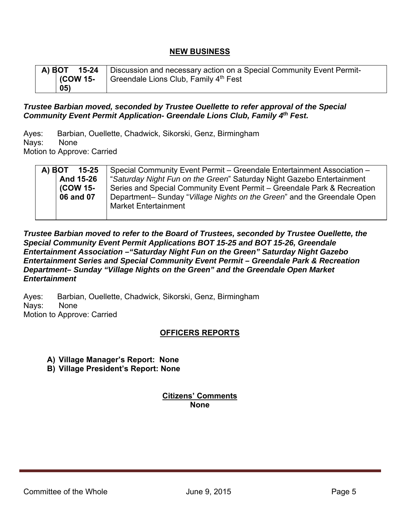# **NEW BUSINESS**

|                  | A) BOT 15-24   Discussion and necessary action on a Special Community Event Permit- |
|------------------|-------------------------------------------------------------------------------------|
| $\vert$ (COW 15- | Greendale Lions Club, Family 4 <sup>th</sup> Fest                                   |
| 05)              |                                                                                     |

### *Trustee Barbian moved, seconded by Trustee Ouellette to refer approval of the Special Community Event Permit Application- Greendale Lions Club, Family 4th Fest.*

Ayes: Barbian, Ouellette, Chadwick, Sikorski, Genz, Birmingham Nays: None Motion to Approve: Carried

| A) BOT | $15 - 25$ | Special Community Event Permit – Greendale Entertainment Association –  |
|--------|-----------|-------------------------------------------------------------------------|
|        | And 15-26 | "Saturday Night Fun on the Green" Saturday Night Gazebo Entertainment   |
|        | (COW 15-  | Series and Special Community Event Permit – Greendale Park & Recreation |
|        | 06 and 07 | Department- Sunday "Village Nights on the Green" and the Greendale Open |
|        |           | <b>Market Entertainment</b>                                             |

*Trustee Barbian moved to refer to the Board of Trustees, seconded by Trustee Ouellette, the Special Community Event Permit Applications BOT 15-25 and BOT 15-26, Greendale Entertainment Association –"Saturday Night Fun on the Green" Saturday Night Gazebo Entertainment Series and Special Community Event Permit – Greendale Park & Recreation Department– Sunday "Village Nights on the Green" and the Greendale Open Market Entertainment*

Ayes: Barbian, Ouellette, Chadwick, Sikorski, Genz, Birmingham Nays: None Motion to Approve: Carried

## **OFFICERS REPORTS**

- **A) Village Manager's Report: None**
- **B) Village President's Report: None**

**Citizens' Comments None**